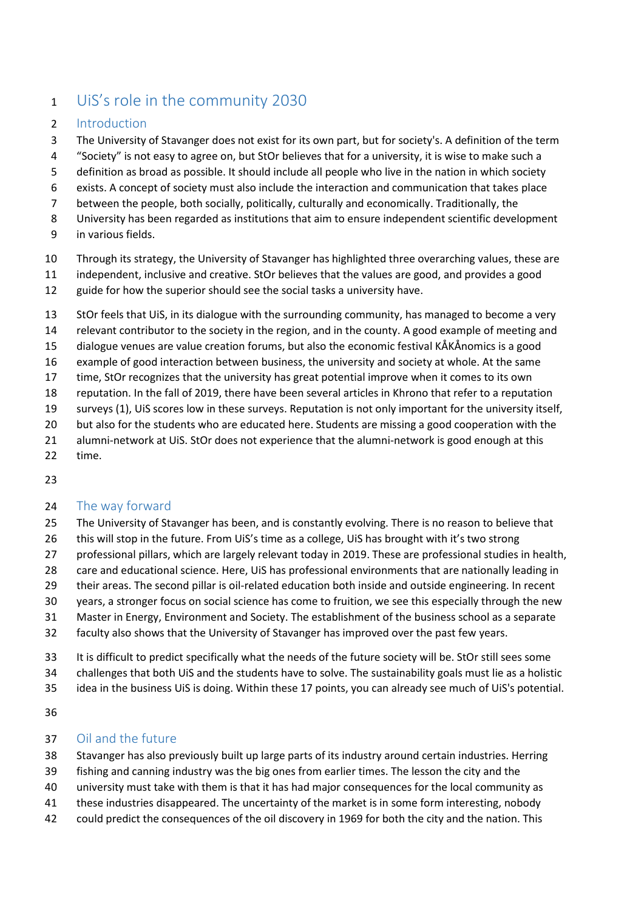# UiS's role in the community 2030

### Introduction

- The University of Stavanger does not exist for its own part, but for society's. A definition of the term
- "Society" is not easy to agree on, but StOr believes that for a university, it is wise to make such a
- definition as broad as possible. It should include all people who live in the nation in which society
- exists. A concept of society must also include the interaction and communication that takes place
- between the people, both socially, politically, culturally and economically. Traditionally, the
- University has been regarded as institutions that aim to ensure independent scientific development
- in various fields.
- Through its strategy, the University of Stavanger has highlighted three overarching values, these are
- independent, inclusive and creative. StOr believes that the values are good, and provides a good
- guide for how the superior should see the social tasks a university have.
- StOr feels that UiS, in its dialogue with the surrounding community, has managed to become a very
- relevant contributor to the society in the region, and in the county. A good example of meeting and
- dialogue venues are value creation forums, but also the economic festival KÅKÅnomics is a good
- example of good interaction between business, the university and society at whole. At the same
- time, StOr recognizes that the university has great potential improve when it comes to its own
- reputation. In the fall of 2019, there have been several articles in Khrono that refer to a reputation
- surveys (1), UiS scores low in these surveys. Reputation is not only important for the university itself,
- but also for the students who are educated here. Students are missing a good cooperation with the
- alumni-network at UiS. StOr does not experience that the alumni-network is good enough at this
- time.
- 

#### 24 The way forward

- The University of Stavanger has been, and is constantly evolving. There is no reason to believe that
- this will stop in the future. From UiS's time as a college, UiS has brought with it's two strong
- professional pillars, which are largely relevant today in 2019. These are professional studies in health,
- care and educational science. Here, UiS has professional environments that are nationally leading in
- their areas. The second pillar is oil-related education both inside and outside engineering. In recent
- years, a stronger focus on social science has come to fruition, we see this especially through the new
- Master in Energy, Environment and Society. The establishment of the business school as a separate
- faculty also shows that the University of Stavanger has improved over the past few years.
- It is difficult to predict specifically what the needs of the future society will be. StOr still sees some
- challenges that both UiS and the students have to solve. The sustainability goals must lie as a holistic
- idea in the business UiS is doing. Within these 17 points, you can already see much of UiS's potential.
- 

## Oil and the future

- Stavanger has also previously built up large parts of its industry around certain industries. Herring
- fishing and canning industry was the big ones from earlier times. The lesson the city and the
- university must take with them is that it has had major consequences for the local community as
- these industries disappeared. The uncertainty of the market is in some form interesting, nobody
- could predict the consequences of the oil discovery in 1969 for both the city and the nation. This